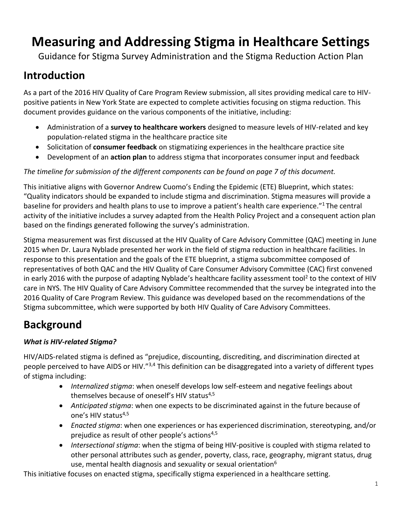# **Measuring and Addressing Stigma in Healthcare Settings**

Guidance for Stigma Survey Administration and the Stigma Reduction Action Plan

## **Introduction**

As a part of the 2016 HIV Quality of Care Program Review submission, all sites providing medical care to HIVpositive patients in New York State are expected to complete activities focusing on stigma reduction. This document provides guidance on the various components of the initiative, including:

- Administration of a **survey to healthcare workers** designed to measure levels of HIV-related and key population-related stigma in the healthcare practice site
- Solicitation of **consumer feedback** on stigmatizing experiences in the healthcare practice site
- Development of an **action plan** to address stigma that incorporates consumer input and feedback

## *The timeline for submission of the different components can be found on page 7 of this document.*

This initiative aligns with Governor Andrew Cuomo's Ending the Epidemic (ETE) Blueprint, which states: "Quality indicators should be expanded to include stigma and discrimination. Stigma measures will provide a baseline for providers and health plans to use to improve a patient's health care experience."<sup>1</sup> The central activity of the initiative includes a survey adapted from the Health Policy Project and a consequent action plan based on the findings generated following the survey's administration.

Stigma measurement was first discussed at the HIV Quality of Care Advisory Committee (QAC) meeting in June 2015 when Dr. Laura Nyblade presented her work in the field of stigma reduction in healthcare facilities. In response to this presentation and the goals of the ETE blueprint, a stigma subcommittee composed of representatives of both QAC and the HIV Quality of Care Consumer Advisory Committee (CAC) first convened in early 2016 with the purpose of adapting Nyblade's healthcare facility assessment tool<sup>2</sup> to the context of HIV care in NYS. The HIV Quality of Care Advisory Committee recommended that the survey be integrated into the 2016 Quality of Care Program Review. This guidance was developed based on the recommendations of the Stigma subcommittee, which were supported by both HIV Quality of Care Advisory Committees.

## **Background**

## *What is HIV-related Stigma?*

HIV/AIDS-related stigma is defined as "prejudice, discounting, discrediting, and discrimination directed at people perceived to have AIDS or HIV."<sup>3,4</sup> This definition can be disaggregated into a variety of different types of stigma including:

- *Internalized stigma*: when oneself develops low self-esteem and negative feelings about themselves because of oneself's HIV status<sup>4,5</sup>
- *Anticipated stigma*: when one expects to be discriminated against in the future because of one's HIV status<sup>4,5</sup>
- *Enacted stigma*: when one experiences or has experienced discrimination, stereotyping, and/or prejudice as result of other people's actions<sup>4,5</sup>
- *Intersectional stigma*: when the stigma of being HIV-positive is coupled with stigma related to other personal attributes such as gender, poverty, class, race, geography, migrant status, drug use, mental health diagnosis and sexuality or sexual orientation $6<sup>6</sup>$

This initiative focuses on enacted stigma, specifically stigma experienced in a healthcare setting.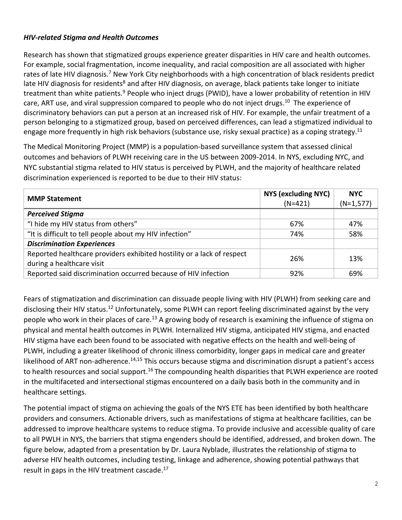#### *HIV-related Stigma and Health Outcomes*

Research has shown that stigmatized groups experience greater disparities in HIV care and health outcomes. For example, social fragmentation, income inequality, and racial composition are all associated with higher rates of late HIV diagnosis.<sup>7</sup> New York City neighborhoods with a high concentration of black residents predict late HIV diagnosis for residents<sup>8</sup> and after HIV diagnosis, on average, black patients take longer to initiate treatment than white patients.<sup>9</sup> People who inject drugs (PWID), have a lower probability of retention in HIV care, ART use, and viral suppression compared to people who do not inject drugs.<sup>10</sup> The experience of discriminatory behaviors can put a person at an increased risk of HIV. For example, the unfair treatment of a person belonging to a stigmatized group, based on perceived differences, can lead a stigmatized individual to engage more frequently in high risk behaviors (substance use, risky sexual practice) as a coping strategy.<sup>11</sup>

The Medical Monitoring Project (MMP) is a population-based surveillance system that assessed clinical outcomes and behaviors of PLWH receiving care in the US between 2009-2014. In NYS, excluding NYC, and NYC substantial stigma related to HIV status is perceived by PLWH, and the majority of healthcare related discrimination experienced is reported to be due to their HIV status:

| <b>MMP Statement</b>                                                                                | NYS (excluding NYC)<br>$(N=421)$ | <b>NYC</b><br>$(N=1,577)$ |
|-----------------------------------------------------------------------------------------------------|----------------------------------|---------------------------|
| <b>Perceived Stigma</b>                                                                             |                                  |                           |
| "I hide my HIV status from others"                                                                  | 67%                              | 47%                       |
| "It is difficult to tell people about my HIV infection"                                             | 74%                              | 58%                       |
| <b>Discrimination Experiences</b>                                                                   |                                  |                           |
| Reported healthcare providers exhibited hostility or a lack of respect<br>during a healthcare visit | 26%                              | 13%                       |
| Reported said discrimination occurred because of HIV infection                                      | 92%                              | 69%                       |

Fears of stigmatization and discrimination can dissuade people living with HIV (PLWH) from seeking care and disclosing their HIV status.<sup>12</sup> Unfortunately, some PLWH can report feeling discriminated against by the very people who work in their places of care.<sup>13</sup> A growing body of research is examining the influence of stigma on physical and mental health outcomes in PLWH. Internalized HIV stigma, anticipated HIV stigma, and enacted HIV stigma have each been found to be associated with negative effects on the health and well-being of PLWH, including a greater likelihood of chronic illness comorbidity, longer gaps in medical care and greater likelihood of ART non-adherence.<sup>14,15</sup> This occurs because stigma and discrimination disrupt a patient's access to health resources and social support.<sup>16</sup> The compounding health disparities that PLWH experience are rooted in the multifaceted and intersectional stigmas encountered on a daily basis both in the community and in healthcare settings.

The potential impact of stigma on achieving the goals of the NYS ETE has been identified by both healthcare providers and consumers. Actionable drivers, such as manifestations of stigma at healthcare facilities, can be addressed to improve healthcare systems to reduce stigma. To provide inclusive and accessible quality of care to all PWLH in NYS, the barriers that stigma engenders should be identified, addressed, and broken down. The figure below, adapted from a presentation by Dr. Laura Nyblade, illustrates the relationship of stigma to adverse HIV health outcomes, including testing, linkage and adherence, showing potential pathways that result in gaps in the HIV treatment cascade. 17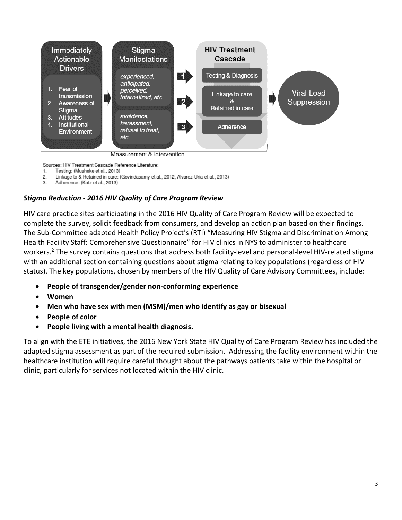

Sources: HIV Treatment Cascade Reference Literature:

- Testing: (Musheke et al., 2013) 1.
- 2. Linkage to & Retained in care: (Govindasamy et al., 2012, Alvarez-Uria et al., 2013)
- Adherence: (Katz et al., 2013) 3.

## *Stigma Reduction - 2016 HIV Quality of Care Program Review*

HIV care practice sites participating in the 2016 HIV Quality of Care Program Review will be expected to complete the survey, solicit feedback from consumers, and develop an action plan based on their findings. The Sub-Committee adapted Health Policy Project's (RTI) "Measuring HIV Stigma and Discrimination Among Health Facility Staff: Comprehensive Questionnaire" for HIV clinics in NYS to administer to healthcare workers.<sup>2</sup> The survey contains questions that address both facility-level and personal-level HIV-related stigma with an additional section containing questions about stigma relating to key populations (regardless of HIV status). The key populations, chosen by members of the HIV Quality of Care Advisory Committees, include:

- **People of transgender/gender non-conforming experience**
- **Women**
- **Men who have sex with men (MSM)/men who identify as gay or bisexual**
- **People of color**
- **People living with a mental health diagnosis.**

To align with the ETE initiatives, the 2016 New York State HIV Quality of Care Program Review has included the adapted stigma assessment as part of the required submission. Addressing the facility environment within the healthcare institution will require careful thought about the pathways patients take within the hospital or clinic, particularly for services not located within the HIV clinic.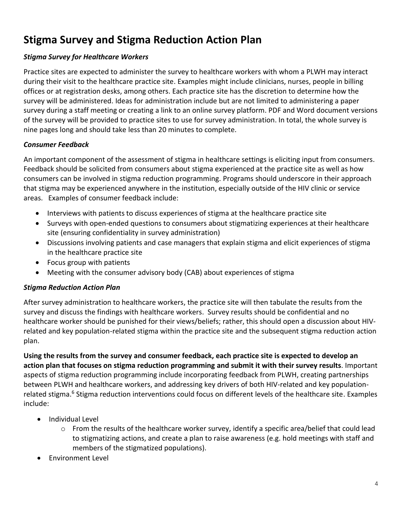## **Stigma Survey and Stigma Reduction Action Plan**

#### *Stigma Survey for Healthcare Workers*

Practice sites are expected to administer the survey to healthcare workers with whom a PLWH may interact during their visit to the healthcare practice site. Examples might include clinicians, nurses, people in billing offices or at registration desks, among others. Each practice site has the discretion to determine how the survey will be administered. Ideas for administration include but are not limited to administering a paper survey during a staff meeting or creating a link to an online survey platform. PDF and Word document versions of the survey will be provided to practice sites to use for survey administration. In total, the whole survey is nine pages long and should take less than 20 minutes to complete.

#### *Consumer Feedback*

An important component of the assessment of stigma in healthcare settings is eliciting input from consumers. Feedback should be solicited from consumers about stigma experienced at the practice site as well as how consumers can be involved in stigma reduction programming. Programs should underscore in their approach that stigma may be experienced anywhere in the institution, especially outside of the HIV clinic or service areas. Examples of consumer feedback include:

- Interviews with patients to discuss experiences of stigma at the healthcare practice site
- Surveys with open-ended questions to consumers about stigmatizing experiences at their healthcare site (ensuring confidentiality in survey administration)
- Discussions involving patients and case managers that explain stigma and elicit experiences of stigma in the healthcare practice site
- Focus group with patients
- Meeting with the consumer advisory body (CAB) about experiences of stigma

#### *Stigma Reduction Action Plan*

After survey administration to healthcare workers, the practice site will then tabulate the results from the survey and discuss the findings with healthcare workers. Survey results should be confidential and no healthcare worker should be punished for their views/beliefs; rather, this should open a discussion about HIVrelated and key population-related stigma within the practice site and the subsequent stigma reduction action plan.

**Using the results from the survey and consumer feedback, each practice site is expected to develop an action plan that focuses on stigma reduction programming and submit it with their survey results**. Important aspects of stigma reduction programming include incorporating feedback from PLWH, creating partnerships between PLWH and healthcare workers, and addressing key drivers of both HIV-related and key populationrelated stigma.<sup>6</sup> Stigma reduction interventions could focus on different levels of the healthcare site. Examples include:

- Individual Level
	- $\circ$  From the results of the healthcare worker survey, identify a specific area/belief that could lead to stigmatizing actions, and create a plan to raise awareness (e.g. hold meetings with staff and members of the stigmatized populations).
- Environment Level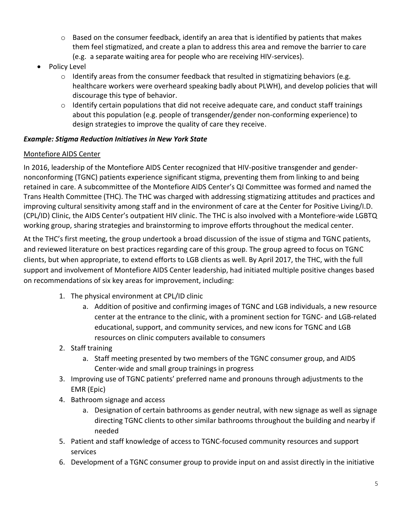- $\circ$  Based on the consumer feedback, identify an area that is identified by patients that makes them feel stigmatized, and create a plan to address this area and remove the barrier to care (e.g. a separate waiting area for people who are receiving HIV-services).
- Policy Level
	- $\circ$  Identify areas from the consumer feedback that resulted in stigmatizing behaviors (e.g. healthcare workers were overheard speaking badly about PLWH), and develop policies that will discourage this type of behavior.
	- $\circ$  Identify certain populations that did not receive adequate care, and conduct staff trainings about this population (e.g. people of transgender/gender non-conforming experience) to design strategies to improve the quality of care they receive.

#### *Example: Stigma Reduction Initiatives in New York State*

#### Montefiore AIDS Center

In 2016, leadership of the Montefiore AIDS Center recognized that HIV-positive transgender and gendernonconforming (TGNC) patients experience significant stigma, preventing them from linking to and being retained in care. A subcommittee of the Montefiore AIDS Center's QI Committee was formed and named the Trans Health Committee (THC). The THC was charged with addressing stigmatizing attitudes and practices and improving cultural sensitivity among staff and in the environment of care at the Center for Positive Living/I.D. (CPL/ID) Clinic, the AIDS Center's outpatient HIV clinic. The THC is also involved with a Montefiore-wide LGBTQ working group, sharing strategies and brainstorming to improve efforts throughout the medical center.

At the THC's first meeting, the group undertook a broad discussion of the issue of stigma and TGNC patients, and reviewed literature on best practices regarding care of this group. The group agreed to focus on TGNC clients, but when appropriate, to extend efforts to LGB clients as well. By April 2017, the THC, with the full support and involvement of Montefiore AIDS Center leadership, had initiated multiple positive changes based on recommendations of six key areas for improvement, including:

- 1. The physical environment at CPL/ID clinic
	- a. Addition of positive and confirming images of TGNC and LGB individuals, a new resource center at the entrance to the clinic, with a prominent section for TGNC- and LGB-related educational, support, and community services, and new icons for TGNC and LGB resources on clinic computers available to consumers
- 2. Staff training
	- a. Staff meeting presented by two members of the TGNC consumer group, and AIDS Center-wide and small group trainings in progress
- 3. Improving use of TGNC patients' preferred name and pronouns through adjustments to the EMR (Epic)
- 4. Bathroom signage and access
	- a. Designation of certain bathrooms as gender neutral, with new signage as well as signage directing TGNC clients to other similar bathrooms throughout the building and nearby if needed
- 5. Patient and staff knowledge of access to TGNC-focused community resources and support services
- 6. Development of a TGNC consumer group to provide input on and assist directly in the initiative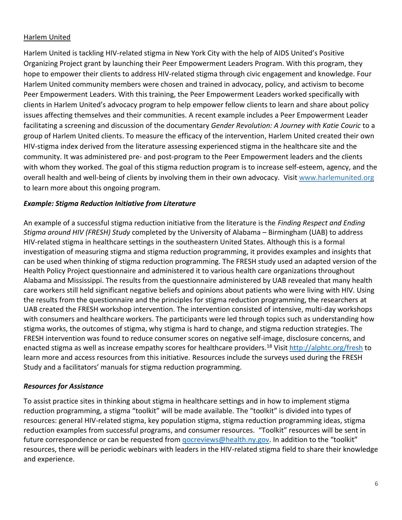#### Harlem United

Harlem United is tackling HIV-related stigma in New York City with the help of AIDS United's Positive Organizing Project grant by launching their Peer Empowerment Leaders Program. With this program, they hope to empower their clients to address HIV-related stigma through civic engagement and knowledge. Four Harlem United community members were chosen and trained in advocacy, policy, and activism to become Peer Empowerment Leaders. With this training, the Peer Empowerment Leaders worked specifically with clients in Harlem United's advocacy program to help empower fellow clients to learn and share about policy issues affecting themselves and their communities. A recent example includes a Peer Empowerment Leader facilitating a screening and discussion of the documentary *Gender Revolution: A Journey with Katie Couric* to a group of Harlem United clients. To measure the efficacy of the intervention, Harlem United created their own HIV-stigma index derived from the literature assessing experienced stigma in the healthcare site and the community. It was administered pre- and post-program to the Peer Empowerment leaders and the clients with whom they worked. The goal of this stigma reduction program is to increase self-esteem, agency, and the overall health and well-being of clients by involving them in their own advocacy. Visit [www.harlemunited.org](http://www.harlemunited.org/) to learn more about this ongoing program.

#### *Example: Stigma Reduction Initiative from Literature*

An example of a successful stigma reduction initiative from the literature is the *Finding Respect and Ending Stigma around HIV (FRESH) Study* completed by the University of Alabama – Birmingham (UAB) to address HIV-related stigma in healthcare settings in the southeastern United States. Although this is a formal investigation of measuring stigma and stigma reduction programming, it provides examples and insights that can be used when thinking of stigma reduction programming. The FRESH study used an adapted version of the Health Policy Project questionnaire and administered it to various health care organizations throughout Alabama and Mississippi. The results from the questionnaire administered by UAB revealed that many health care workers still held significant negative beliefs and opinions about patients who were living with HIV. Using the results from the questionnaire and the principles for stigma reduction programming, the researchers at UAB created the FRESH workshop intervention. The intervention consisted of intensive, multi-day workshops with consumers and healthcare workers. The participants were led through topics such as understanding how stigma works, the outcomes of stigma, why stigma is hard to change, and stigma reduction strategies. The FRESH intervention was found to reduce consumer scores on negative self-image, disclosure concerns, and enacted stigma as well as increase empathy scores for healthcare providers.<sup>18</sup> Visit<http://alphtc.org/fresh> to learn more and access resources from this initiative. Resources include the surveys used during the FRESH Study and a facilitators' manuals for stigma reduction programming.

#### *Resources for Assistance*

To assist practice sites in thinking about stigma in healthcare settings and in how to implement stigma reduction programming, a stigma "toolkit" will be made available. The "toolkit" is divided into types of resources: general HIV-related stigma, key population stigma, stigma reduction programming ideas, stigma reduction examples from successful programs, and consumer resources. "Toolkit" resources will be sent in future correspondence or can be requested from *gocreviews@health.ny.gov.* In addition to the "toolkit" resources, there will be periodic webinars with leaders in the HIV-related stigma field to share their knowledge and experience.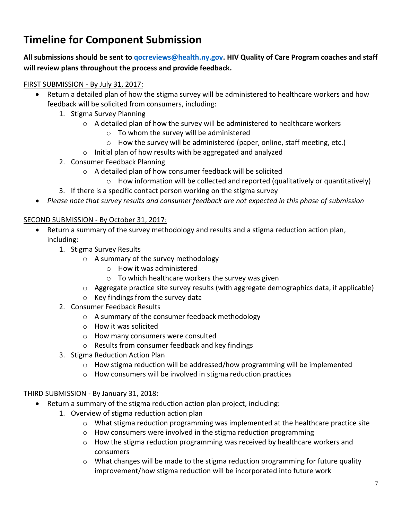## **Timeline for Component Submission**

## **All submissions should be sent to [qocreviews@health.ny.gov.](mailto:qocreviews@health.ny.gov) HIV Quality of Care Program coaches and staff will review plans throughout the process and provide feedback.**

#### FIRST SUBMISSION - By July 31, 2017:

- Return a detailed plan of how the stigma survey will be administered to healthcare workers and how feedback will be solicited from consumers, including:
	- 1. Stigma Survey Planning
		- $\circ$  A detailed plan of how the survey will be administered to healthcare workers
			- o To whom the survey will be administered
			- o How the survey will be administered (paper, online, staff meeting, etc.)
		- o Initial plan of how results with be aggregated and analyzed
	- 2. Consumer Feedback Planning
		- o A detailed plan of how consumer feedback will be solicited
			- $\circ$  How information will be collected and reported (qualitatively or quantitatively)
	- 3. If there is a specific contact person working on the stigma survey
- *Please note that survey results and consumer feedback are not expected in this phase of submission*

#### SECOND SUBMISSION - By October 31, 2017:

- Return a summary of the survey methodology and results and a stigma reduction action plan, including:
	- 1. Stigma Survey Results
		- o A summary of the survey methodology
			- o How it was administered
			- o To which healthcare workers the survey was given
		- $\circ$  Aggregate practice site survey results (with aggregate demographics data, if applicable)
		- o Key findings from the survey data
	- 2. Consumer Feedback Results
		- o A summary of the consumer feedback methodology
		- o How it was solicited
		- o How many consumers were consulted
		- o Results from consumer feedback and key findings
	- 3. Stigma Reduction Action Plan
		- o How stigma reduction will be addressed/how programming will be implemented
		- o How consumers will be involved in stigma reduction practices

## THIRD SUBMISSION - By January 31, 2018:

- Return a summary of the stigma reduction action plan project, including:
	- 1. Overview of stigma reduction action plan
		- $\circ$  What stigma reduction programming was implemented at the healthcare practice site
		- o How consumers were involved in the stigma reduction programming
		- $\circ$  How the stigma reduction programming was received by healthcare workers and consumers
		- $\circ$  What changes will be made to the stigma reduction programming for future quality improvement/how stigma reduction will be incorporated into future work